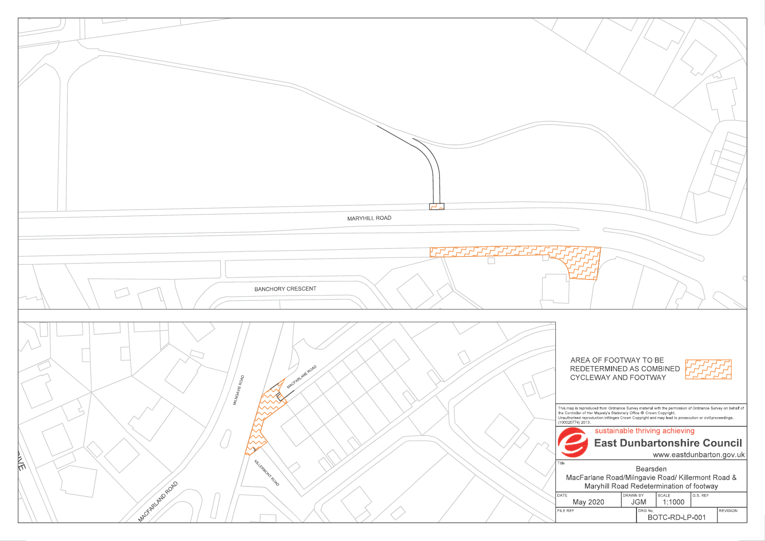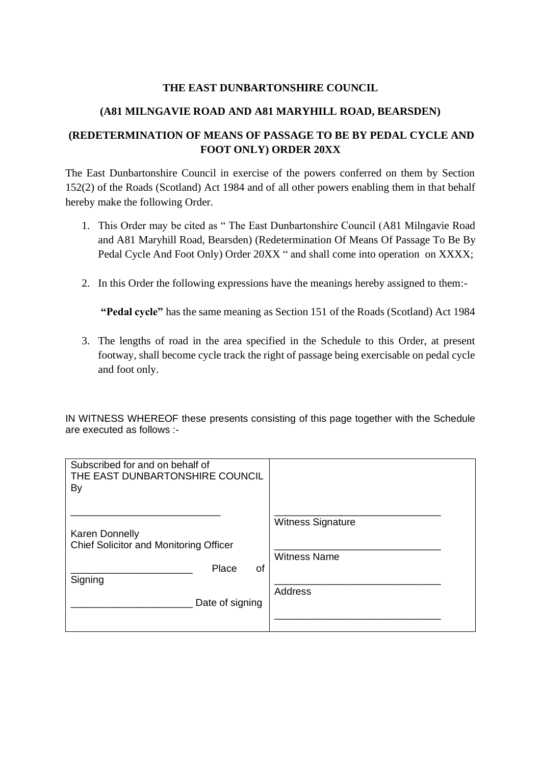#### **THE EAST DUNBARTONSHIRE COUNCIL**

## **(A81 MILNGAVIE ROAD AND A81 MARYHILL ROAD, BEARSDEN)**

## **(REDETERMINATION OF MEANS OF PASSAGE TO BE BY PEDAL CYCLE AND FOOT ONLY) ORDER 20XX**

The East Dunbartonshire Council in exercise of the powers conferred on them by Section 152(2) of the Roads (Scotland) Act 1984 and of all other powers enabling them in that behalf hereby make the following Order.

- 1. This Order may be cited as " The East Dunbartonshire Council (A81 Milngavie Road and A81 Maryhill Road, Bearsden) (Redetermination Of Means Of Passage To Be By Pedal Cycle And Foot Only) Order 20XX " and shall come into operation on XXXX;
- 2. In this Order the following expressions have the meanings hereby assigned to them:-

**"Pedal cycle"** has the same meaning as Section 151 of the Roads (Scotland) Act 1984

3. The lengths of road in the area specified in the Schedule to this Order, at present footway, shall become cycle track the right of passage being exercisable on pedal cycle and foot only.

IN WITNESS WHEREOF these presents consisting of this page together with the Schedule are executed as follows :-

| Subscribed for and on behalf of<br>THE EAST DUNBARTONSHIRE COUNCIL<br>By                                     |                                                                   |
|--------------------------------------------------------------------------------------------------------------|-------------------------------------------------------------------|
| <b>Karen Donnelly</b><br>Chief Solicitor and Monitoring Officer<br>Place<br>οf<br>Signing<br>Date of signing | <b>Witness Signature</b><br><b>Witness Name</b><br><b>Address</b> |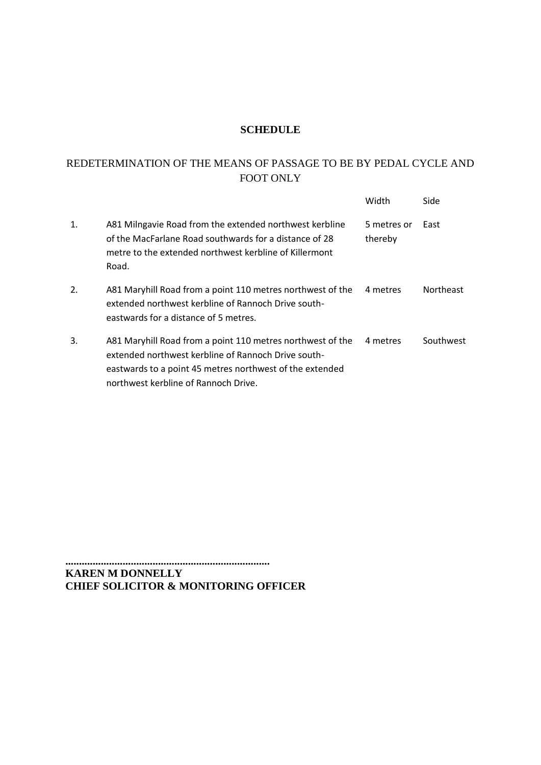## **SCHEDULE**

# REDETERMINATION OF THE MEANS OF PASSAGE TO BE BY PEDAL CYCLE AND FOOT ONLY

|                |                                                                                                                                                                                                                       | Width                  | Side             |
|----------------|-----------------------------------------------------------------------------------------------------------------------------------------------------------------------------------------------------------------------|------------------------|------------------|
| $\mathbf{1}$ . | A81 Milngavie Road from the extended northwest kerbline<br>of the MacFarlane Road southwards for a distance of 28<br>metre to the extended northwest kerbline of Killermont<br>Road.                                  | 5 metres or<br>thereby | East             |
| 2.             | A81 Maryhill Road from a point 110 metres northwest of the<br>extended northwest kerbline of Rannoch Drive south-<br>eastwards for a distance of 5 metres.                                                            | 4 metres               | <b>Northeast</b> |
| 3.             | A81 Maryhill Road from a point 110 metres northwest of the<br>extended northwest kerbline of Rannoch Drive south-<br>eastwards to a point 45 metres northwest of the extended<br>northwest kerbline of Rannoch Drive. | 4 metres               | Southwest        |

**........................................................................... KAREN M DONNELLY CHIEF SOLICITOR & MONITORING OFFICER**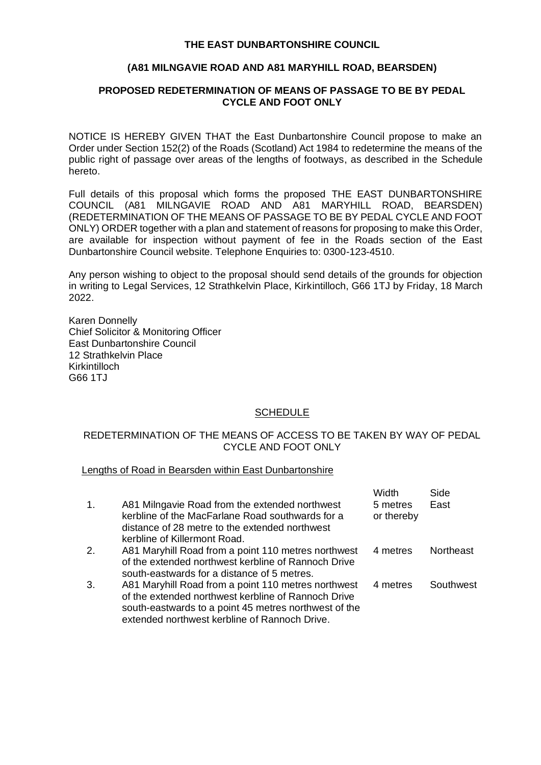#### **THE EAST DUNBARTONSHIRE COUNCIL**

#### **(A81 MILNGAVIE ROAD AND A81 MARYHILL ROAD, BEARSDEN)**

#### **PROPOSED REDETERMINATION OF MEANS OF PASSAGE TO BE BY PEDAL CYCLE AND FOOT ONLY**

NOTICE IS HEREBY GIVEN THAT the East Dunbartonshire Council propose to make an Order under Section 152(2) of the Roads (Scotland) Act 1984 to redetermine the means of the public right of passage over areas of the lengths of footways, as described in the Schedule hereto.

Full details of this proposal which forms the proposed THE EAST DUNBARTONSHIRE COUNCIL (A81 MILNGAVIE ROAD AND A81 MARYHILL ROAD, BEARSDEN) (REDETERMINATION OF THE MEANS OF PASSAGE TO BE BY PEDAL CYCLE AND FOOT ONLY) ORDER together with a plan and statement of reasons for proposing to make this Order, are available for inspection without payment of fee in the Roads section of the East Dunbartonshire Council website. Telephone Enquiries to: 0300-123-4510.

Any person wishing to object to the proposal should send details of the grounds for objection in writing to Legal Services, 12 Strathkelvin Place, Kirkintilloch, G66 1TJ by Friday, 18 March 2022.

Karen Donnelly Chief Solicitor & Monitoring Officer East Dunbartonshire Council 12 Strathkelvin Place Kirkintilloch G66 1TJ

#### **SCHEDULE**

#### REDETERMINATION OF THE MEANS OF ACCESS TO BE TAKEN BY WAY OF PEDAL CYCLE AND FOOT ONLY

#### Lengths of Road in Bearsden within East Dunbartonshire

|                |                                                                                                                                                                                                                      | Width                  | Side      |
|----------------|----------------------------------------------------------------------------------------------------------------------------------------------------------------------------------------------------------------------|------------------------|-----------|
| $\mathbf{1}$ . | A81 Milngavie Road from the extended northwest<br>kerbline of the MacFarlane Road southwards for a<br>distance of 28 metre to the extended northwest                                                                 | 5 metres<br>or thereby | East      |
|                | kerbline of Killermont Road.                                                                                                                                                                                         |                        |           |
| 2.             | A81 Maryhill Road from a point 110 metres northwest<br>of the extended northwest kerbline of Rannoch Drive<br>south-eastwards for a distance of 5 metres.                                                            | 4 metres               | Northeast |
| 3.             | A81 Maryhill Road from a point 110 metres northwest<br>of the extended northwest kerbline of Rannoch Drive<br>south-eastwards to a point 45 metres northwest of the<br>extended northwest kerbline of Rannoch Drive. | 4 metres               | Southwest |